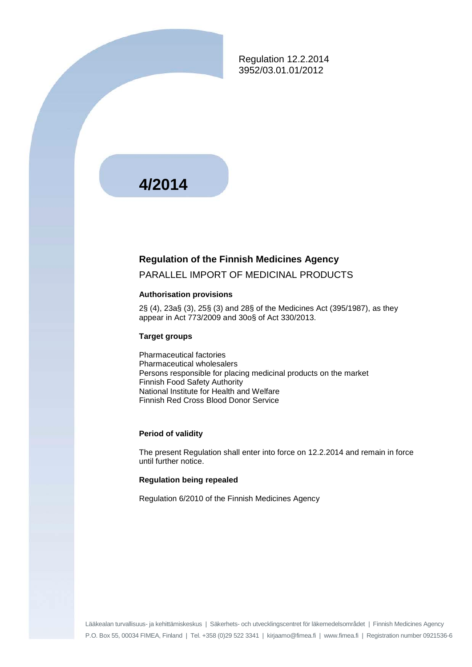Regulation 12.2.2014 3952/03.01.01/2012

# **4/2014**

#### **Regulation of the Finnish Medicines Agency**

#### PARALLEL IMPORT OF MEDICINAL PRODUCTS

#### **Authorisation provisions**

2§ (4), 23a§ (3), 25§ (3) and 28§ of the Medicines Act (395/1987), as they appear in Act 773/2009 and 30o§ of Act 330/2013.

#### **Target groups**

Pharmaceutical factories Pharmaceutical wholesalers Persons responsible for placing medicinal products on the market Finnish Food Safety Authority National Institute for Health and Welfare Finnish Red Cross Blood Donor Service

#### **Period of validity**

The present Regulation shall enter into force on 12.2.2014 and remain in force until further notice.

#### **Regulation being repealed**

Regulation 6/2010 of the Finnish Medicines Agency

Lääkealan turvallisuus- ja kehittämiskeskus | Säkerhets- och utvecklingscentret för läkemedelsområdet | Finnish Medicines Agency P.O. Box 55, 00034 FIMEA, Finland | Tel. +358 (0)29 522 3341 | kirjaamo@fimea.fi | www.fimea.fi | Registration number 0921536-6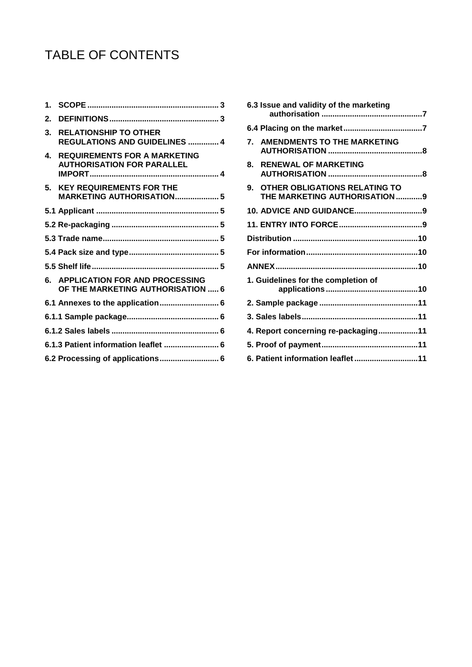# TABLE OF CONTENTS

| 1. |                                                                            |
|----|----------------------------------------------------------------------------|
| 2. |                                                                            |
| 3. | <b>RELATIONSHIP TO OTHER</b><br>REGULATIONS AND GUIDELINES  4              |
| 4. | <b>REQUIREMENTS FOR A MARKETING</b><br><b>AUTHORISATION FOR PARALLEL</b>   |
| 5. | <b>KEY REQUIREMENTS FOR THE</b><br><b>MARKETING AUTHORISATION 5</b>        |
|    |                                                                            |
|    |                                                                            |
|    |                                                                            |
|    |                                                                            |
|    |                                                                            |
|    |                                                                            |
|    | <b>APPLICATION FOR AND PROCESSING</b><br>OF THE MARKETING AUTHORISATION  6 |
|    | 6.1 Annexes to the application 6                                           |
|    |                                                                            |
|    |                                                                            |
|    | 6.1.3 Patient information leaflet  6                                       |

|             | 6.3 Issue and validity of the marketing                        |  |
|-------------|----------------------------------------------------------------|--|
|             |                                                                |  |
|             | 7. AMENDMENTS TO THE MARKETING                                 |  |
| 8.          | <b>RENEWAL OF MARKETING</b>                                    |  |
| $9^{\circ}$ | OTHER OBLIGATIONS RELATING TO<br>THE MARKETING AUTHORISATION 9 |  |
|             |                                                                |  |
|             |                                                                |  |
|             |                                                                |  |
|             |                                                                |  |
|             |                                                                |  |
|             | 1. Guidelines for the completion of                            |  |
|             |                                                                |  |
|             |                                                                |  |
|             | 4. Report concerning re-packaging11                            |  |
|             |                                                                |  |
|             |                                                                |  |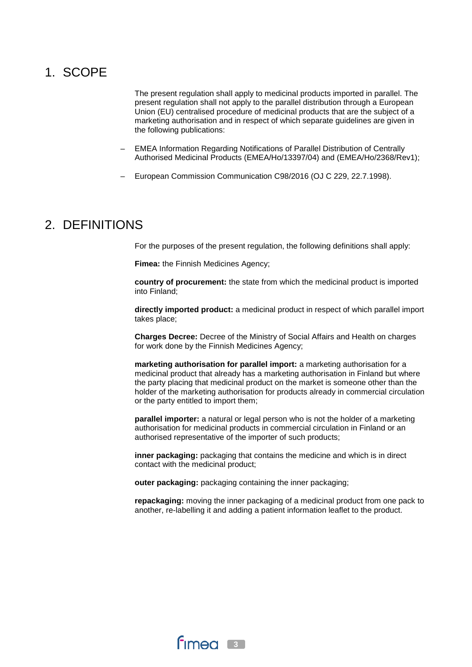## 1. SCOPE

The present regulation shall apply to medicinal products imported in parallel. The present regulation shall not apply to the parallel distribution through a European Union (EU) centralised procedure of medicinal products that are the subject of a marketing authorisation and in respect of which separate guidelines are given in the following publications:

- EMEA Information Regarding Notifications of Parallel Distribution of Centrally Authorised Medicinal Products (EMEA/Ho/13397/04) and (EMEA/Ho/2368/Rev1);
- European Commission Communication C98/2016 (OJ C 229, 22.7.1998).

## 2. DEFINITIONS

For the purposes of the present regulation, the following definitions shall apply:

**Fimea:** the Finnish Medicines Agency;

**country of procurement:** the state from which the medicinal product is imported into Finland;

**directly imported product:** a medicinal product in respect of which parallel import takes place;

**Charges Decree:** Decree of the Ministry of Social Affairs and Health on charges for work done by the Finnish Medicines Agency;

**marketing authorisation for parallel import:** a marketing authorisation for a medicinal product that already has a marketing authorisation in Finland but where the party placing that medicinal product on the market is someone other than the holder of the marketing authorisation for products already in commercial circulation or the party entitled to import them;

**parallel importer:** a natural or legal person who is not the holder of a marketing authorisation for medicinal products in commercial circulation in Finland or an authorised representative of the importer of such products;

**inner packaging:** packaging that contains the medicine and which is in direct contact with the medicinal product;

**outer packaging:** packaging containing the inner packaging;

**repackaging:** moving the inner packaging of a medicinal product from one pack to another, re-labelling it and adding a patient information leaflet to the product.

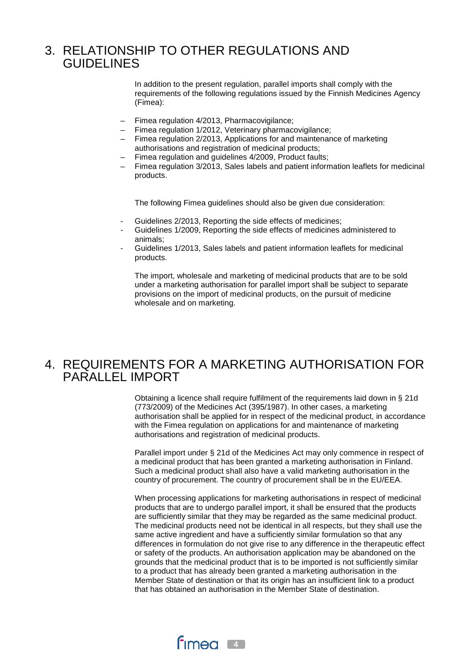## 3. RELATIONSHIP TO OTHER REGULATIONS AND GUIDELINES

In addition to the present regulation, parallel imports shall comply with the requirements of the following regulations issued by the Finnish Medicines Agency (Fimea):

- Fimea regulation 4/2013, Pharmacovigilance;
- Fimea regulation 1/2012, Veterinary pharmacovigilance;
- Fimea regulation 2/2013, Applications for and maintenance of marketing authorisations and registration of medicinal products;
- Fimea regulation and guidelines 4/2009, Product faults;
- Fimea regulation 3/2013, Sales labels and patient information leaflets for medicinal products.

The following Fimea guidelines should also be given due consideration:

- Guidelines 2/2013, Reporting the side effects of medicines;
- Guidelines 1/2009, Reporting the side effects of medicines administered to animals;
- Guidelines 1/2013, Sales labels and patient information leaflets for medicinal products.

The import, wholesale and marketing of medicinal products that are to be sold under a marketing authorisation for parallel import shall be subject to separate provisions on the import of medicinal products, on the pursuit of medicine wholesale and on marketing.

### 4. REQUIREMENTS FOR A MARKETING AUTHORISATION FOR PARALLEL IMPORT

Obtaining a licence shall require fulfilment of the requirements laid down in § 21d (773/2009) of the Medicines Act (395/1987). In other cases, a marketing authorisation shall be applied for in respect of the medicinal product, in accordance with the Fimea regulation on applications for and maintenance of marketing authorisations and registration of medicinal products.

Parallel import under § 21d of the Medicines Act may only commence in respect of a medicinal product that has been granted a marketing authorisation in Finland. Such a medicinal product shall also have a valid marketing authorisation in the country of procurement. The country of procurement shall be in the EU/EEA.

When processing applications for marketing authorisations in respect of medicinal products that are to undergo parallel import, it shall be ensured that the products are sufficiently similar that they may be regarded as the same medicinal product. The medicinal products need not be identical in all respects, but they shall use the same active ingredient and have a sufficiently similar formulation so that any differences in formulation do not give rise to any difference in the therapeutic effect or safety of the products. An authorisation application may be abandoned on the grounds that the medicinal product that is to be imported is not sufficiently similar to a product that has already been granted a marketing authorisation in the Member State of destination or that its origin has an insufficient link to a product that has obtained an authorisation in the Member State of destination.

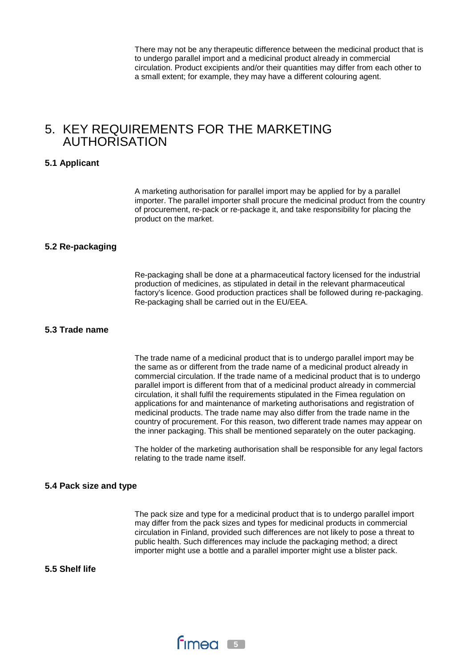There may not be any therapeutic difference between the medicinal product that is to undergo parallel import and a medicinal product already in commercial circulation. Product excipients and/or their quantities may differ from each other to a small extent; for example, they may have a different colouring agent.

## 5. KEY REQUIREMENTS FOR THE MARKETING AUTHORISATION

#### **5.1 Applicant**

A marketing authorisation for parallel import may be applied for by a parallel importer. The parallel importer shall procure the medicinal product from the country of procurement, re-pack or re-package it, and take responsibility for placing the product on the market.

#### **5.2 Re-packaging**

Re-packaging shall be done at a pharmaceutical factory licensed for the industrial production of medicines, as stipulated in detail in the relevant pharmaceutical factory's licence. Good production practices shall be followed during re-packaging. Re-packaging shall be carried out in the EU/EEA.

#### **5.3 Trade name**

The trade name of a medicinal product that is to undergo parallel import may be the same as or different from the trade name of a medicinal product already in commercial circulation. If the trade name of a medicinal product that is to undergo parallel import is different from that of a medicinal product already in commercial circulation, it shall fulfil the requirements stipulated in the Fimea regulation on applications for and maintenance of marketing authorisations and registration of medicinal products. The trade name may also differ from the trade name in the country of procurement. For this reason, two different trade names may appear on the inner packaging. This shall be mentioned separately on the outer packaging.

The holder of the marketing authorisation shall be responsible for any legal factors relating to the trade name itself.

#### **5.4 Pack size and type**

The pack size and type for a medicinal product that is to undergo parallel import may differ from the pack sizes and types for medicinal products in commercial circulation in Finland, provided such differences are not likely to pose a threat to public health. Such differences may include the packaging method; a direct importer might use a bottle and a parallel importer might use a blister pack.

**5.5 Shelf life**

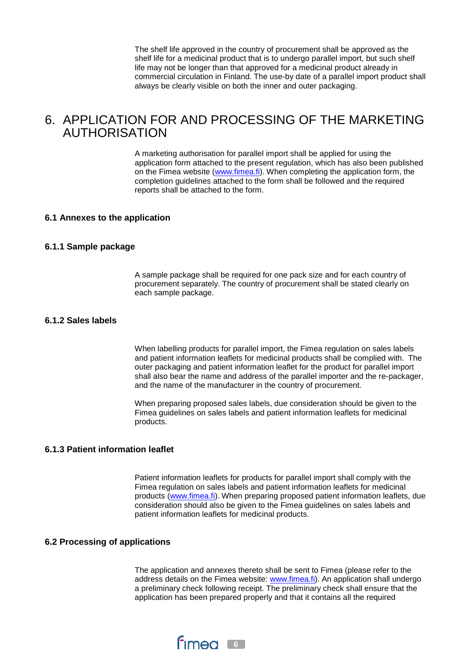The shelf life approved in the country of procurement shall be approved as the shelf life for a medicinal product that is to undergo parallel import, but such shelf life may not be longer than that approved for a medicinal product already in commercial circulation in Finland. The use-by date of a parallel import product shall always be clearly visible on both the inner and outer packaging.

## 6. APPLICATION FOR AND PROCESSING OF THE MARKETING AUTHORISATION

A marketing authorisation for parallel import shall be applied for using the application form attached to the present regulation, which has also been published on the Fimea website [\(www.fimea.fi\)](http://www.fimea.fi/). When completing the application form, the completion guidelines attached to the form shall be followed and the required reports shall be attached to the form.

#### **6.1 Annexes to the application**

#### **6.1.1 Sample package**

A sample package shall be required for one pack size and for each country of procurement separately. The country of procurement shall be stated clearly on each sample package.

#### **6.1.2 Sales labels**

When labelling products for parallel import, the Fimea regulation on sales labels and patient information leaflets for medicinal products shall be complied with. The outer packaging and patient information leaflet for the product for parallel import shall also bear the name and address of the parallel importer and the re-packager, and the name of the manufacturer in the country of procurement.

When preparing proposed sales labels, due consideration should be given to the Fimea guidelines on sales labels and patient information leaflets for medicinal products.

#### **6.1.3 Patient information leaflet**

Patient information leaflets for products for parallel import shall comply with the Fimea regulation on sales labels and patient information leaflets for medicinal products [\(www.fimea.fi\)](http://www.fimea.fi/). When preparing proposed patient information leaflets, due consideration should also be given to the Fimea guidelines on sales labels and patient information leaflets for medicinal products.

#### **6.2 Processing of applications**

The application and annexes thereto shall be sent to Fimea (please refer to the address details on the Fimea website: [www.fimea.fi\)](http://www.fimea.fi/). An application shall undergo a preliminary check following receipt. The preliminary check shall ensure that the application has been prepared properly and that it contains all the required

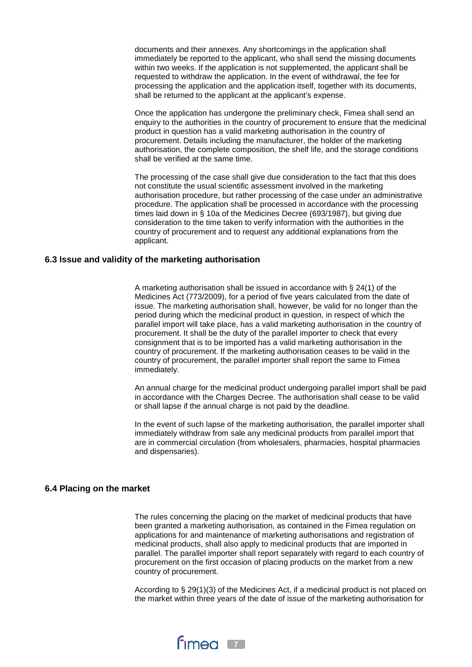documents and their annexes. Any shortcomings in the application shall immediately be reported to the applicant, who shall send the missing documents within two weeks. If the application is not supplemented, the applicant shall be requested to withdraw the application. In the event of withdrawal, the fee for processing the application and the application itself, together with its documents, shall be returned to the applicant at the applicant's expense.

Once the application has undergone the preliminary check, Fimea shall send an enquiry to the authorities in the country of procurement to ensure that the medicinal product in question has a valid marketing authorisation in the country of procurement. Details including the manufacturer, the holder of the marketing authorisation, the complete composition, the shelf life, and the storage conditions shall be verified at the same time.

The processing of the case shall give due consideration to the fact that this does not constitute the usual scientific assessment involved in the marketing authorisation procedure, but rather processing of the case under an administrative procedure. The application shall be processed in accordance with the processing times laid down in § 10a of the Medicines Decree (693/1987), but giving due consideration to the time taken to verify information with the authorities in the country of procurement and to request any additional explanations from the applicant.

#### **6.3 Issue and validity of the marketing authorisation**

A marketing authorisation shall be issued in accordance with § 24(1) of the Medicines Act (773/2009), for a period of five years calculated from the date of issue. The marketing authorisation shall, however, be valid for no longer than the period during which the medicinal product in question, in respect of which the parallel import will take place, has a valid marketing authorisation in the country of procurement. It shall be the duty of the parallel importer to check that every consignment that is to be imported has a valid marketing authorisation in the country of procurement. If the marketing authorisation ceases to be valid in the country of procurement, the parallel importer shall report the same to Fimea immediately.

An annual charge for the medicinal product undergoing parallel import shall be paid in accordance with the Charges Decree. The authorisation shall cease to be valid or shall lapse if the annual charge is not paid by the deadline.

In the event of such lapse of the marketing authorisation, the parallel importer shall immediately withdraw from sale any medicinal products from parallel import that are in commercial circulation (from wholesalers, pharmacies, hospital pharmacies and dispensaries).

#### **6.4 Placing on the market**

The rules concerning the placing on the market of medicinal products that have been granted a marketing authorisation, as contained in the Fimea regulation on applications for and maintenance of marketing authorisations and registration of medicinal products, shall also apply to medicinal products that are imported in parallel. The parallel importer shall report separately with regard to each country of procurement on the first occasion of placing products on the market from a new country of procurement.

According to § 29(1)(3) of the Medicines Act, if a medicinal product is not placed on the market within three years of the date of issue of the marketing authorisation for

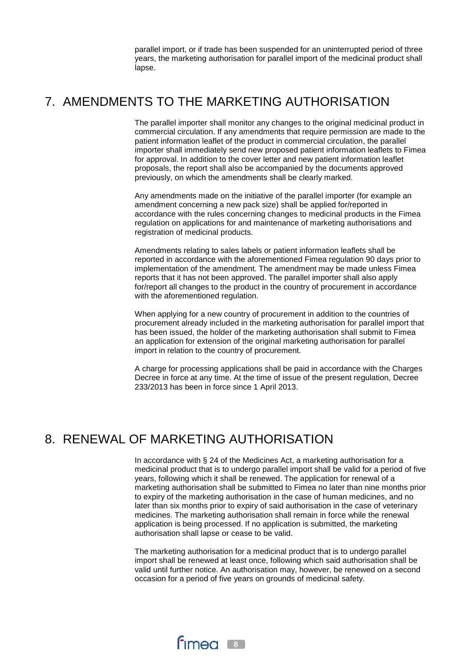parallel import, or if trade has been suspended for an uninterrupted period of three years, the marketing authorisation for parallel import of the medicinal product shall lapse.

## 7. AMENDMENTS TO THE MARKETING AUTHORISATION

The parallel importer shall monitor any changes to the original medicinal product in commercial circulation. If any amendments that require permission are made to the patient information leaflet of the product in commercial circulation, the parallel importer shall immediately send new proposed patient information leaflets to Fimea for approval. In addition to the cover letter and new patient information leaflet proposals, the report shall also be accompanied by the documents approved previously, on which the amendments shall be clearly marked.

Any amendments made on the initiative of the parallel importer (for example an amendment concerning a new pack size) shall be applied for/reported in accordance with the rules concerning changes to medicinal products in the Fimea regulation on applications for and maintenance of marketing authorisations and registration of medicinal products.

Amendments relating to sales labels or patient information leaflets shall be reported in accordance with the aforementioned Fimea regulation 90 days prior to implementation of the amendment. The amendment may be made unless Fimea reports that it has not been approved. The parallel importer shall also apply for/report all changes to the product in the country of procurement in accordance with the aforementioned regulation.

When applying for a new country of procurement in addition to the countries of procurement already included in the marketing authorisation for parallel import that has been issued, the holder of the marketing authorisation shall submit to Fimea an application for extension of the original marketing authorisation for parallel import in relation to the country of procurement.

A charge for processing applications shall be paid in accordance with the Charges Decree in force at any time. At the time of issue of the present regulation, Decree 233/2013 has been in force since 1 April 2013.

## 8. RENEWAL OF MARKETING AUTHORISATION

In accordance with § 24 of the Medicines Act, a marketing authorisation for a medicinal product that is to undergo parallel import shall be valid for a period of five years, following which it shall be renewed. The application for renewal of a marketing authorisation shall be submitted to Fimea no later than nine months prior to expiry of the marketing authorisation in the case of human medicines, and no later than six months prior to expiry of said authorisation in the case of veterinary medicines. The marketing authorisation shall remain in force while the renewal application is being processed. If no application is submitted, the marketing authorisation shall lapse or cease to be valid.

The marketing authorisation for a medicinal product that is to undergo parallel import shall be renewed at least once, following which said authorisation shall be valid until further notice. An authorisation may, however, be renewed on a second occasion for a period of five years on grounds of medicinal safety.

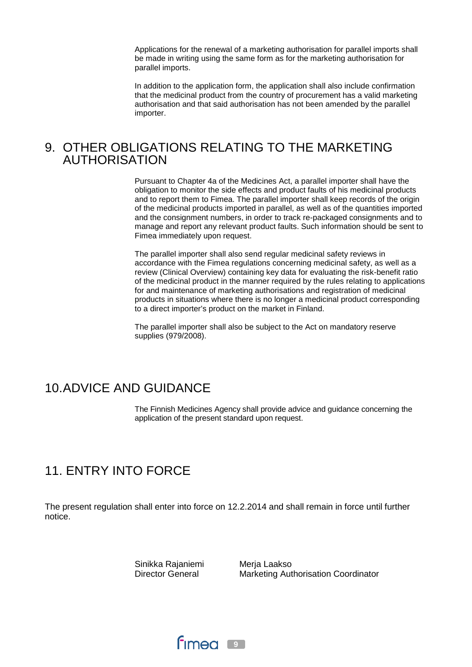Applications for the renewal of a marketing authorisation for parallel imports shall be made in writing using the same form as for the marketing authorisation for parallel imports.

In addition to the application form, the application shall also include confirmation that the medicinal product from the country of procurement has a valid marketing authorisation and that said authorisation has not been amended by the parallel importer.

### 9. OTHER OBLIGATIONS RELATING TO THE MARKETING AUTHORISATION

Pursuant to Chapter 4a of the Medicines Act, a parallel importer shall have the obligation to monitor the side effects and product faults of his medicinal products and to report them to Fimea. The parallel importer shall keep records of the origin of the medicinal products imported in parallel, as well as of the quantities imported and the consignment numbers, in order to track re-packaged consignments and to manage and report any relevant product faults. Such information should be sent to Fimea immediately upon request.

The parallel importer shall also send regular medicinal safety reviews in accordance with the Fimea regulations concerning medicinal safety, as well as a review (Clinical Overview) containing key data for evaluating the risk-benefit ratio of the medicinal product in the manner required by the rules relating to applications for and maintenance of marketing authorisations and registration of medicinal products in situations where there is no longer a medicinal product corresponding to a direct importer's product on the market in Finland.

The parallel importer shall also be subject to the Act on mandatory reserve supplies (979/2008).

## 10.ADVICE AND GUIDANCE

The Finnish Medicines Agency shall provide advice and guidance concerning the application of the present standard upon request.

## 11. ENTRY INTO FORCE

The present regulation shall enter into force on 12.2.2014 and shall remain in force until further notice.

> Sinikka Rajaniemi Director General

Merja Laakso Marketing Authorisation Coordinator

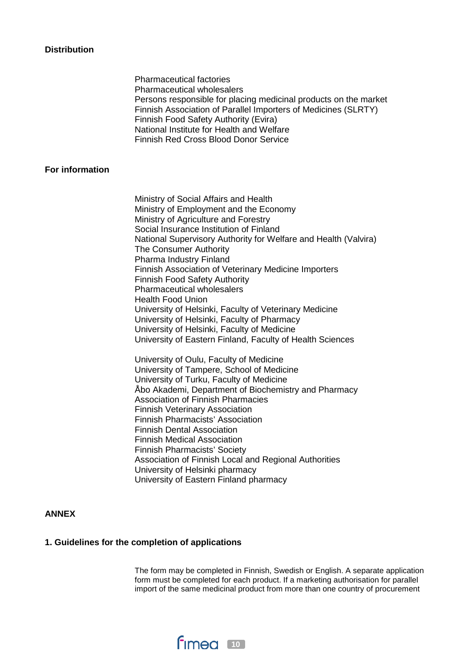#### **Distribution**

Pharmaceutical factories Pharmaceutical wholesalers Persons responsible for placing medicinal products on the market Finnish Association of Parallel Importers of Medicines (SLRTY) Finnish Food Safety Authority (Evira) National Institute for Health and Welfare Finnish Red Cross Blood Donor Service

#### **For information**

Ministry of Social Affairs and Health Ministry of Employment and the Economy Ministry of Agriculture and Forestry Social Insurance Institution of Finland National Supervisory Authority for Welfare and Health (Valvira) The Consumer Authority Pharma Industry Finland Finnish Association of Veterinary Medicine Importers Finnish Food Safety Authority Pharmaceutical wholesalers Health Food Union University of Helsinki, Faculty of Veterinary Medicine University of Helsinki, Faculty of Pharmacy University of Helsinki, Faculty of Medicine University of Eastern Finland, Faculty of Health Sciences

University of Oulu, Faculty of Medicine University of Tampere, School of Medicine University of Turku, Faculty of Medicine Åbo Akademi, Department of Biochemistry and Pharmacy Association of Finnish Pharmacies Finnish Veterinary Association Finnish Pharmacists' Association Finnish Dental Association Finnish Medical Association Finnish Pharmacists' Society Association of Finnish Local and Regional Authorities University of Helsinki pharmacy University of Eastern Finland pharmacy

#### **ANNEX**

#### **1. Guidelines for the completion of applications**

The form may be completed in Finnish, Swedish or English. A separate application form must be completed for each product. If a marketing authorisation for parallel import of the same medicinal product from more than one country of procurement

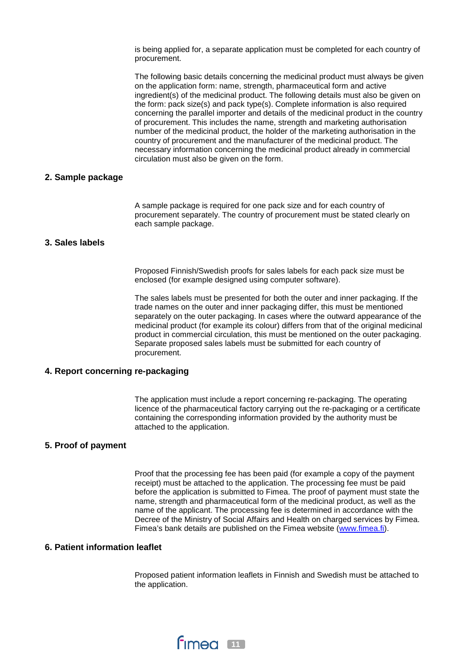is being applied for, a separate application must be completed for each country of procurement.

The following basic details concerning the medicinal product must always be given on the application form: name, strength, pharmaceutical form and active ingredient(s) of the medicinal product. The following details must also be given on the form: pack size(s) and pack type(s). Complete information is also required concerning the parallel importer and details of the medicinal product in the country of procurement. This includes the name, strength and marketing authorisation number of the medicinal product, the holder of the marketing authorisation in the country of procurement and the manufacturer of the medicinal product. The necessary information concerning the medicinal product already in commercial circulation must also be given on the form.

#### **2. Sample package**

A sample package is required for one pack size and for each country of procurement separately. The country of procurement must be stated clearly on each sample package.

#### **3. Sales labels**

Proposed Finnish/Swedish proofs for sales labels for each pack size must be enclosed (for example designed using computer software).

The sales labels must be presented for both the outer and inner packaging. If the trade names on the outer and inner packaging differ, this must be mentioned separately on the outer packaging. In cases where the outward appearance of the medicinal product (for example its colour) differs from that of the original medicinal product in commercial circulation, this must be mentioned on the outer packaging. Separate proposed sales labels must be submitted for each country of procurement.

#### **4. Report concerning re-packaging**

The application must include a report concerning re-packaging. The operating licence of the pharmaceutical factory carrying out the re-packaging or a certificate containing the corresponding information provided by the authority must be attached to the application.

#### **5. Proof of payment**

Proof that the processing fee has been paid (for example a copy of the payment receipt) must be attached to the application. The processing fee must be paid before the application is submitted to Fimea. The proof of payment must state the name, strength and pharmaceutical form of the medicinal product, as well as the name of the applicant. The processing fee is determined in accordance with the Decree of the Ministry of Social Affairs and Health on charged services by Fimea. Fimea's bank details are published on the Fimea website [\(www.fimea.fi\)](http://www.fimea.fi/).

#### **6. Patient information leaflet**

Proposed patient information leaflets in Finnish and Swedish must be attached to the application.

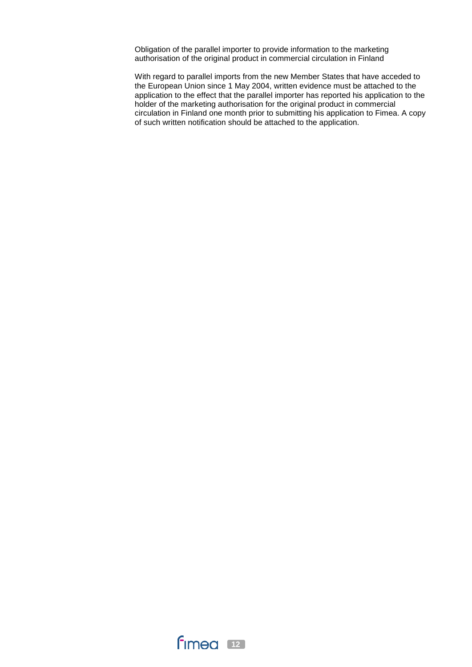Obligation of the parallel importer to provide information to the marketing authorisation of the original product in commercial circulation in Finland

With regard to parallel imports from the new Member States that have acceded to the European Union since 1 May 2004, written evidence must be attached to the application to the effect that the parallel importer has reported his application to the holder of the marketing authorisation for the original product in commercial circulation in Finland one month prior to submitting his application to Fimea. A copy of such written notification should be attached to the application.